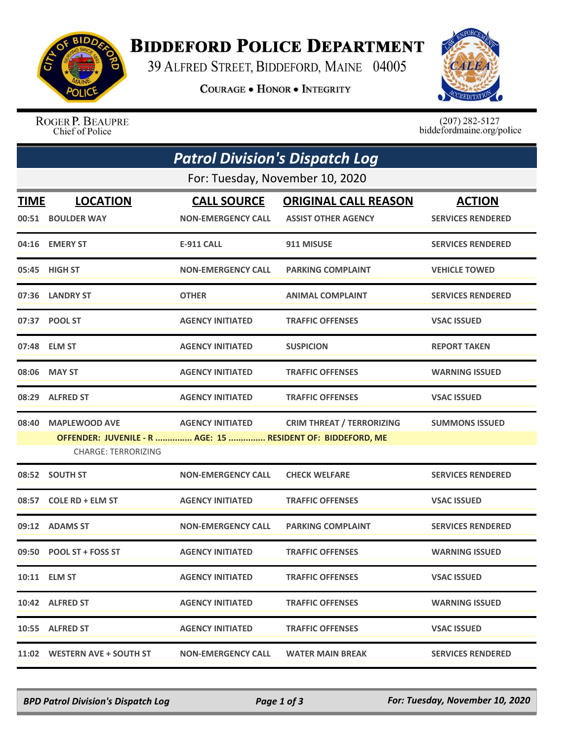

## **BIDDEFORD POLICE DEPARTMENT**

39 ALFRED STREET, BIDDEFORD, MAINE 04005

**COURAGE . HONOR . INTEGRITY** 



ROGER P. BEAUPRE Chief of Police

 $(207)$  282-5127 biddefordmaine.org/police

| <b>Patrol Division's Dispatch Log</b> |                                                                                                                   |                                                 |                                                           |                                           |  |  |  |
|---------------------------------------|-------------------------------------------------------------------------------------------------------------------|-------------------------------------------------|-----------------------------------------------------------|-------------------------------------------|--|--|--|
|                                       | For: Tuesday, November 10, 2020                                                                                   |                                                 |                                                           |                                           |  |  |  |
| <b>TIME</b>                           | <b>LOCATION</b><br>00:51 BOULDER WAY                                                                              | <b>CALL SOURCE</b><br><b>NON-EMERGENCY CALL</b> | <b>ORIGINAL CALL REASON</b><br><b>ASSIST OTHER AGENCY</b> | <b>ACTION</b><br><b>SERVICES RENDERED</b> |  |  |  |
|                                       | 04:16 EMERY ST                                                                                                    | <b>E-911 CALL</b>                               | 911 MISUSE                                                | <b>SERVICES RENDERED</b>                  |  |  |  |
| 05:45                                 | <b>HIGH ST</b>                                                                                                    | <b>NON-EMERGENCY CALL</b>                       | <b>PARKING COMPLAINT</b>                                  | <b>VEHICLE TOWED</b>                      |  |  |  |
|                                       | 07:36 LANDRY ST                                                                                                   | <b>OTHER</b>                                    | <b>ANIMAL COMPLAINT</b>                                   | <b>SERVICES RENDERED</b>                  |  |  |  |
|                                       | 07:37 POOL ST                                                                                                     | <b>AGENCY INITIATED</b>                         | <b>TRAFFIC OFFENSES</b>                                   | <b>VSAC ISSUED</b>                        |  |  |  |
|                                       | 07:48 ELM ST                                                                                                      | <b>AGENCY INITIATED</b>                         | <b>SUSPICION</b>                                          | <b>REPORT TAKEN</b>                       |  |  |  |
| 08:06                                 | <b>MAY ST</b>                                                                                                     | <b>AGENCY INITIATED</b>                         | <b>TRAFFIC OFFENSES</b>                                   | <b>WARNING ISSUED</b>                     |  |  |  |
|                                       | 08:29 ALFRED ST                                                                                                   | <b>AGENCY INITIATED</b>                         | <b>TRAFFIC OFFENSES</b>                                   | <b>VSAC ISSUED</b>                        |  |  |  |
| 08:40                                 | <b>MAPLEWOOD AVE</b><br>OFFENDER: JUVENILE - R  AGE: 15  RESIDENT OF: BIDDEFORD, ME<br><b>CHARGE: TERRORIZING</b> | <b>AGENCY INITIATED</b>                         | <b>CRIM THREAT / TERRORIZING</b>                          | <b>SUMMONS ISSUED</b>                     |  |  |  |
|                                       | 08:52 SOUTH ST                                                                                                    | <b>NON-EMERGENCY CALL</b>                       | <b>CHECK WELFARE</b>                                      | <b>SERVICES RENDERED</b>                  |  |  |  |
|                                       | 08:57 COLE RD + ELM ST                                                                                            | <b>AGENCY INITIATED</b>                         | <b>TRAFFIC OFFENSES</b>                                   | <b>VSAC ISSUED</b>                        |  |  |  |
|                                       | 09:12 ADAMS ST                                                                                                    | <b>NON-EMERGENCY CALL</b>                       | <b>PARKING COMPLAINT</b>                                  | <b>SERVICES RENDERED</b>                  |  |  |  |
|                                       | 09:50 POOL ST + FOSS ST                                                                                           | <b>AGENCY INITIATED</b>                         | <b>TRAFFIC OFFENSES</b>                                   | <b>WARNING ISSUED</b>                     |  |  |  |
|                                       | 10:11 ELM ST                                                                                                      | <b>AGENCY INITIATED</b>                         | <b>TRAFFIC OFFENSES</b>                                   | <b>VSAC ISSUED</b>                        |  |  |  |
|                                       | 10:42 ALFRED ST                                                                                                   | <b>AGENCY INITIATED</b>                         | <b>TRAFFIC OFFENSES</b>                                   | <b>WARNING ISSUED</b>                     |  |  |  |
|                                       | 10:55 ALFRED ST                                                                                                   | <b>AGENCY INITIATED</b>                         | <b>TRAFFIC OFFENSES</b>                                   | <b>VSAC ISSUED</b>                        |  |  |  |
|                                       | 11:02 WESTERN AVE + SOUTH ST                                                                                      | <b>NON-EMERGENCY CALL</b>                       | <b>WATER MAIN BREAK</b>                                   | <b>SERVICES RENDERED</b>                  |  |  |  |

*BPD Patrol Division's Dispatch Log Page 1 of 3 For: Tuesday, November 10, 2020*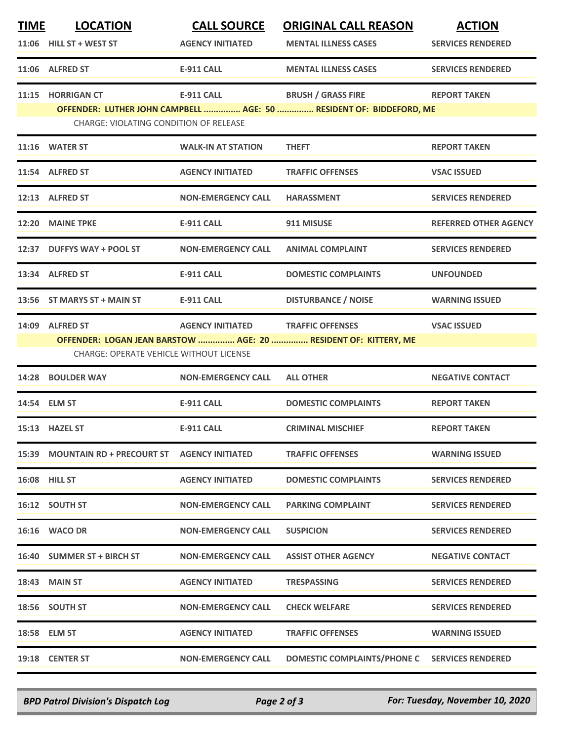| <b>TIME</b> | <b>LOCATION</b>                                  | <b>CALL SOURCE</b>        | <b>ORIGINAL CALL REASON</b>                                         | <b>ACTION</b>                |
|-------------|--------------------------------------------------|---------------------------|---------------------------------------------------------------------|------------------------------|
|             | $11:06$ HILL ST + WEST ST                        | <b>AGENCY INITIATED</b>   | <b>MENTAL ILLNESS CASES</b>                                         | <b>SERVICES RENDERED</b>     |
|             | 11:06 ALFRED ST                                  | <b>E-911 CALL</b>         | <b>MENTAL ILLNESS CASES</b>                                         | <b>SERVICES RENDERED</b>     |
|             | 11:15 HORRIGAN CT                                | <b>E-911 CALL</b>         | <b>BRUSH / GRASS FIRE</b>                                           | <b>REPORT TAKEN</b>          |
|             |                                                  |                           | OFFENDER: LUTHER JOHN CAMPBELL  AGE: 50  RESIDENT OF: BIDDEFORD, ME |                              |
|             | <b>CHARGE: VIOLATING CONDITION OF RELEASE</b>    |                           |                                                                     |                              |
|             | 11:16 WATER ST                                   | <b>WALK-IN AT STATION</b> | <b>THEFT</b>                                                        | <b>REPORT TAKEN</b>          |
|             | 11:54 ALFRED ST                                  | <b>AGENCY INITIATED</b>   | <b>TRAFFIC OFFENSES</b>                                             | <b>VSAC ISSUED</b>           |
|             | 12:13 ALFRED ST                                  | <b>NON-EMERGENCY CALL</b> | <b>HARASSMENT</b>                                                   | <b>SERVICES RENDERED</b>     |
|             | 12:20 MAINE TPKE                                 | <b>E-911 CALL</b>         | 911 MISUSE                                                          | <b>REFERRED OTHER AGENCY</b> |
|             | 12:37 DUFFYS WAY + POOL ST                       | <b>NON-EMERGENCY CALL</b> | <b>ANIMAL COMPLAINT</b>                                             | <b>SERVICES RENDERED</b>     |
|             | 13:34 ALFRED ST                                  | <b>E-911 CALL</b>         | <b>DOMESTIC COMPLAINTS</b>                                          | <b>UNFOUNDED</b>             |
|             | 13:56 ST MARYS ST + MAIN ST                      | <b>E-911 CALL</b>         | <b>DISTURBANCE / NOISE</b>                                          | <b>WARNING ISSUED</b>        |
|             | 14:09 ALFRED ST                                  | <b>AGENCY INITIATED</b>   | <b>TRAFFIC OFFENSES</b>                                             | <b>VSAC ISSUED</b>           |
|             |                                                  |                           | OFFENDER: LOGAN JEAN BARSTOW  AGE: 20  RESIDENT OF: KITTERY, ME     |                              |
|             | <b>CHARGE: OPERATE VEHICLE WITHOUT LICENSE</b>   |                           |                                                                     |                              |
| 14:28       | <b>BOULDER WAY</b>                               | <b>NON-EMERGENCY CALL</b> | <b>ALL OTHER</b>                                                    | <b>NEGATIVE CONTACT</b>      |
|             | 14:54 ELM ST                                     | <b>E-911 CALL</b>         | <b>DOMESTIC COMPLAINTS</b>                                          | <b>REPORT TAKEN</b>          |
|             | 15:13 HAZEL ST                                   | <b>E-911 CALL</b>         | <b>CRIMINAL MISCHIEF</b>                                            | <b>REPORT TAKEN</b>          |
|             | 15:39 MOUNTAIN RD + PRECOURT ST AGENCY INITIATED |                           | <b>TRAFFIC OFFENSES</b>                                             | <b>WARNING ISSUED</b>        |
|             | <b>16:08 HILL ST</b>                             | <b>AGENCY INITIATED</b>   | <b>DOMESTIC COMPLAINTS</b>                                          | <b>SERVICES RENDERED</b>     |
|             | 16:12 SOUTH ST                                   | <b>NON-EMERGENCY CALL</b> | <b>PARKING COMPLAINT</b>                                            | <b>SERVICES RENDERED</b>     |
|             | 16:16 WACO DR                                    | <b>NON-EMERGENCY CALL</b> | <b>SUSPICION</b>                                                    | <b>SERVICES RENDERED</b>     |
|             | 16:40 SUMMER ST + BIRCH ST                       | <b>NON-EMERGENCY CALL</b> | <b>ASSIST OTHER AGENCY</b>                                          | <b>NEGATIVE CONTACT</b>      |
|             | <b>18:43 MAIN ST</b>                             | <b>AGENCY INITIATED</b>   | <b>TRESPASSING</b>                                                  | <b>SERVICES RENDERED</b>     |
|             | 18:56 SOUTH ST                                   | <b>NON-EMERGENCY CALL</b> | <b>CHECK WELFARE</b>                                                | <b>SERVICES RENDERED</b>     |
|             | 18:58 ELM ST                                     | <b>AGENCY INITIATED</b>   | <b>TRAFFIC OFFENSES</b>                                             | <b>WARNING ISSUED</b>        |
|             | 19:18 CENTER ST                                  | <b>NON-EMERGENCY CALL</b> | <b>DOMESTIC COMPLAINTS/PHONE C</b>                                  | <b>SERVICES RENDERED</b>     |

*BPD Patrol Division's Dispatch Log Page 2 of 3 For: Tuesday, November 10, 2020*